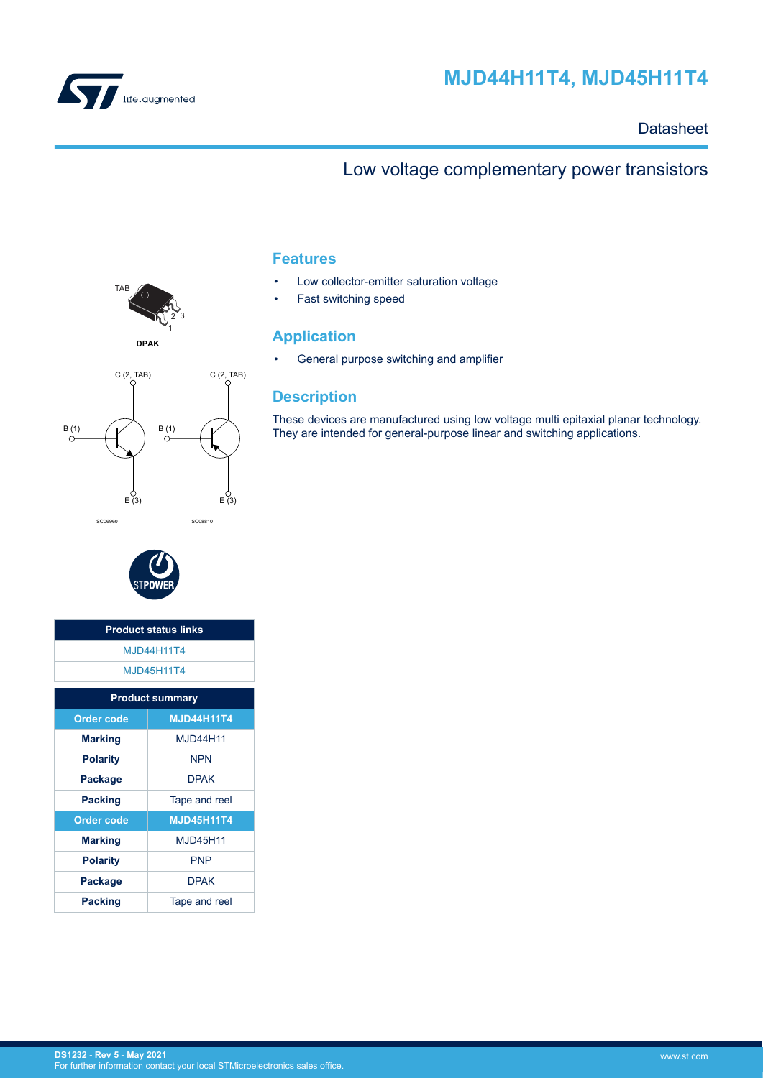<span id="page-0-0"></span>

# **MJD44H11T4, MJD45H11T4**

## **Datasheet**

# Low voltage complementary power transistors



**DPAK**





| <b>Product status links</b> |                        |  |  |  |
|-----------------------------|------------------------|--|--|--|
| <b>M.ID44H11T4</b>          |                        |  |  |  |
|                             | <b>MJD45H11T4</b>      |  |  |  |
|                             | <b>Product summary</b> |  |  |  |
| <b>Order code</b>           | <b>MJD44H11T4</b>      |  |  |  |
| <b>Marking</b>              | M.ID44H11              |  |  |  |
| <b>Polarity</b>             | <b>NPN</b>             |  |  |  |
| Package                     | <b>DPAK</b>            |  |  |  |
| <b>Packing</b>              | Tape and reel          |  |  |  |
| <b>Order code</b>           | <b>MJD45H11T4</b>      |  |  |  |
| <b>Marking</b>              | M.ID45H11              |  |  |  |
| <b>Polarity</b>             | <b>PNP</b>             |  |  |  |
| Package                     | <b>DPAK</b>            |  |  |  |
| <b>Packing</b>              | Tape and reel          |  |  |  |

## **Features**

- Low collector-emitter saturation voltage
- Fast switching speed

## **Application**

• General purpose switching and amplifier

## **Description**

These devices are manufactured using low voltage multi epitaxial planar technology. They are intended for general-purpose linear and switching applications.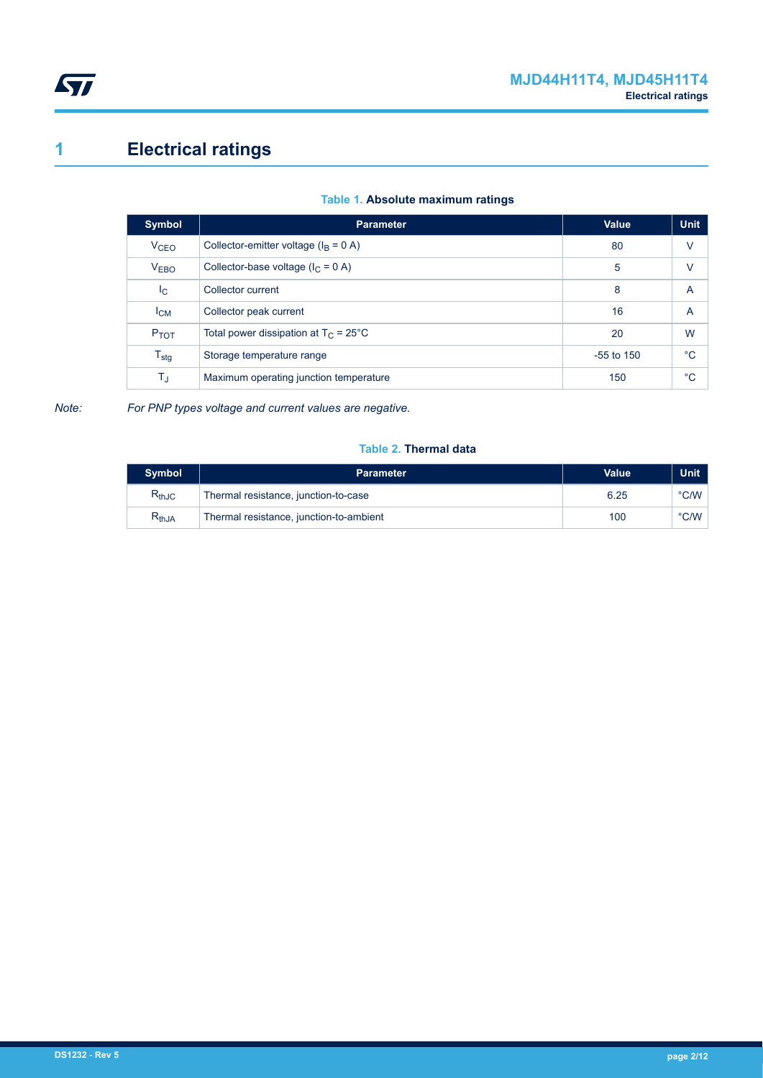<span id="page-1-0"></span>

# **1 Electrical ratings**

| <b>Parameter</b>                               | Value        | <b>Unit</b>    |
|------------------------------------------------|--------------|----------------|
| Collector-emitter voltage ( $I_B = 0$ A)       | 80           | $\vee$         |
| Collector-base voltage ( $I_C = 0$ A)          | 5            | v              |
| Collector current                              | 8            | A              |
| Collector peak current                         | 16           | $\overline{A}$ |
| Total power dissipation at $T_C = 25^{\circ}C$ | 20           | W              |
| Storage temperature range                      | $-55$ to 150 | °C             |
| Maximum operating junction temperature         | 150          | $^{\circ}C$    |
|                                                |              |                |

## **Table 1. Absolute maximum ratings**

*Note: For PNP types voltage and current values are negative.*

#### **Table 2. Thermal data**

| <b>Symbol</b> | <b>Parameter</b>                        | Value | Unit           |
|---------------|-----------------------------------------|-------|----------------|
| $R_{thJC}$    | Thermal resistance, junction-to-case    | 6.25  | $\degree$ C/W  |
| $R_{thJA}$    | Thermal resistance, junction-to-ambient | 100   | $^{\circ}$ C/W |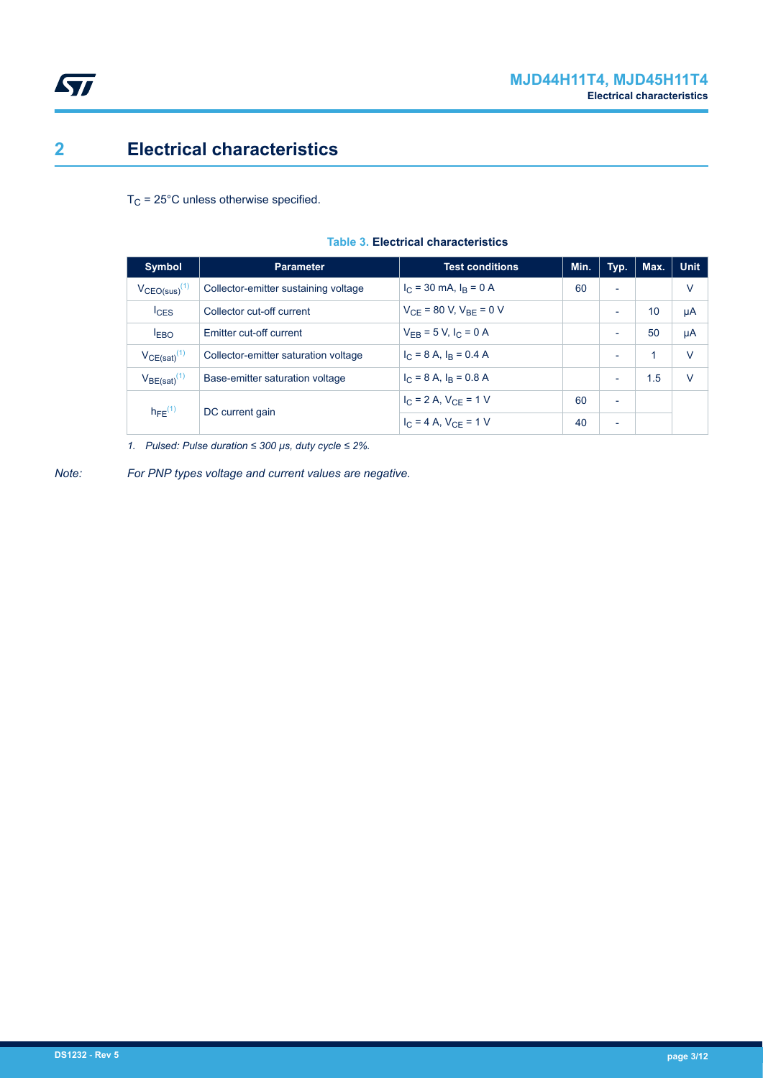

## <span id="page-2-0"></span>**2 Electrical characteristics**

 $T_C$  = 25°C unless otherwise specified.

| <b>Symbol</b>         | <b>Parameter</b>                     | <b>Test conditions</b>          | Min. | Typ.                     | Max. | <b>Unit</b> |
|-----------------------|--------------------------------------|---------------------------------|------|--------------------------|------|-------------|
| $V_{CEO(sus)}^{(1)}$  | Collector-emitter sustaining voltage | $I_C = 30$ mA, $I_R = 0$ A      | 60   | ۰                        |      | V           |
| $I_{CES}$             | Collector cut-off current            | $V_{CF}$ = 80 V, $V_{BE}$ = 0 V |      | ۰                        | 10   | μA          |
| I <sub>EBO</sub>      | Emitter cut-off current              | $V_{FR}$ = 5 V, $I_C$ = 0 A     |      | $\overline{\phantom{a}}$ | 50   | μA          |
| $V_{CE(sat)}^{(1)}$   | Collector-emitter saturation voltage | $I_C = 8$ A, $I_R = 0.4$ A      |      | $\overline{\phantom{a}}$ | 1    | v           |
| $V_{BE(sat)}^{(1)}$   | Base-emitter saturation voltage      | $I_C = 8$ A, $I_R = 0.8$ A      |      | $\overline{\phantom{0}}$ | 1.5  | v           |
| $h_{\text{FF}}^{(1)}$ | DC current gain                      | $I_C = 2 A$ , $V_{CF} = 1 V$    | 60   | $\overline{\phantom{a}}$ |      |             |
|                       |                                      | $I_C = 4 A$ , $V_{CE} = 1 V$    | 40   | $\overline{\phantom{0}}$ |      |             |

#### **Table 3. Electrical characteristics**

*1. Pulsed: Pulse duration ≤ 300 μs, duty cycle ≤ 2%.*

*Note: For PNP types voltage and current values are negative.*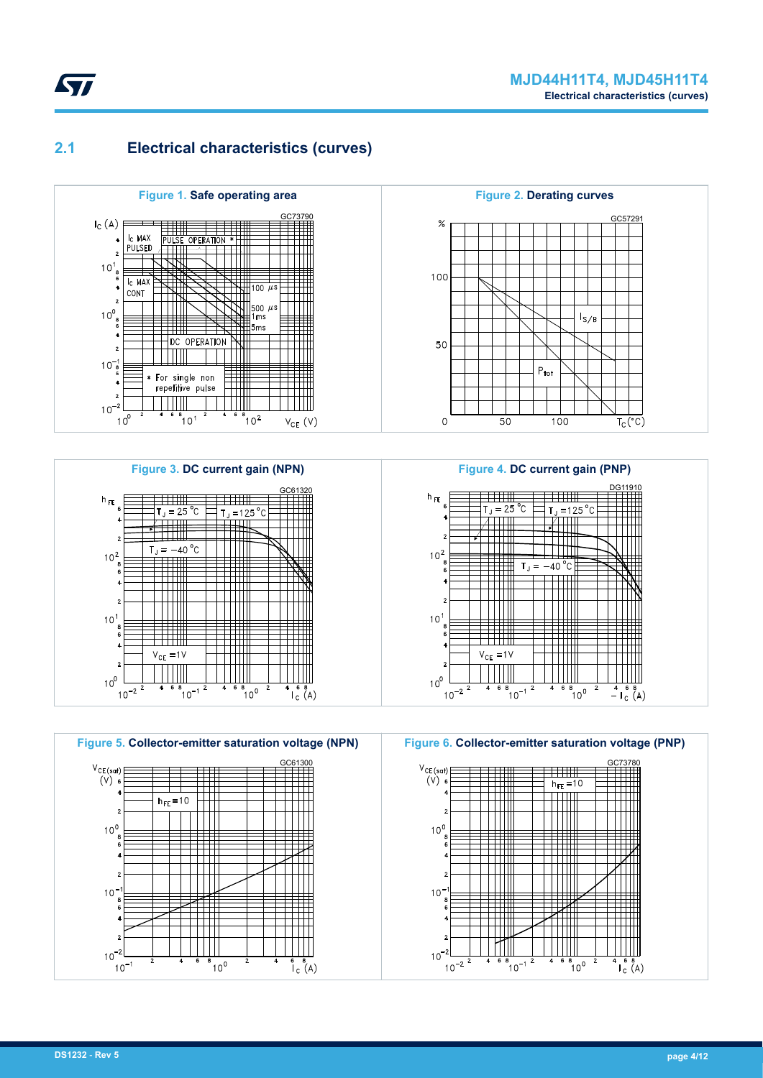## **2.1 Electrical characteristics (curves)**

<span id="page-3-0"></span>*kyl* 









**Figure 4. DC current gain (PNP)**



**Figure 6. Collector-emitter saturation voltage (PNP)** GC73780  $V_{CE (sat)}$  $\overline{1}$  $\overline{(v)}$  $h_{FE} = 10$ ╪╪╪╫  $\overline{\text{min}}$  $\top \top$  $10<sup>0</sup>$ ┯┷┷╇ TTTTTT Ш  $10<sup>-</sup>$ Ш m  $10^{-7}$  $10^{-2}$  $\overline{\phantom{a}}$  $\frac{1}{\sqrt{6}}$   $\frac{8}{\sqrt{4}}$  $^{8}$  10<sup>-1</sup>  $n_{10}$ <sup>8</sup>

 $10<sup>-</sup>$ 

 $10^{-3}$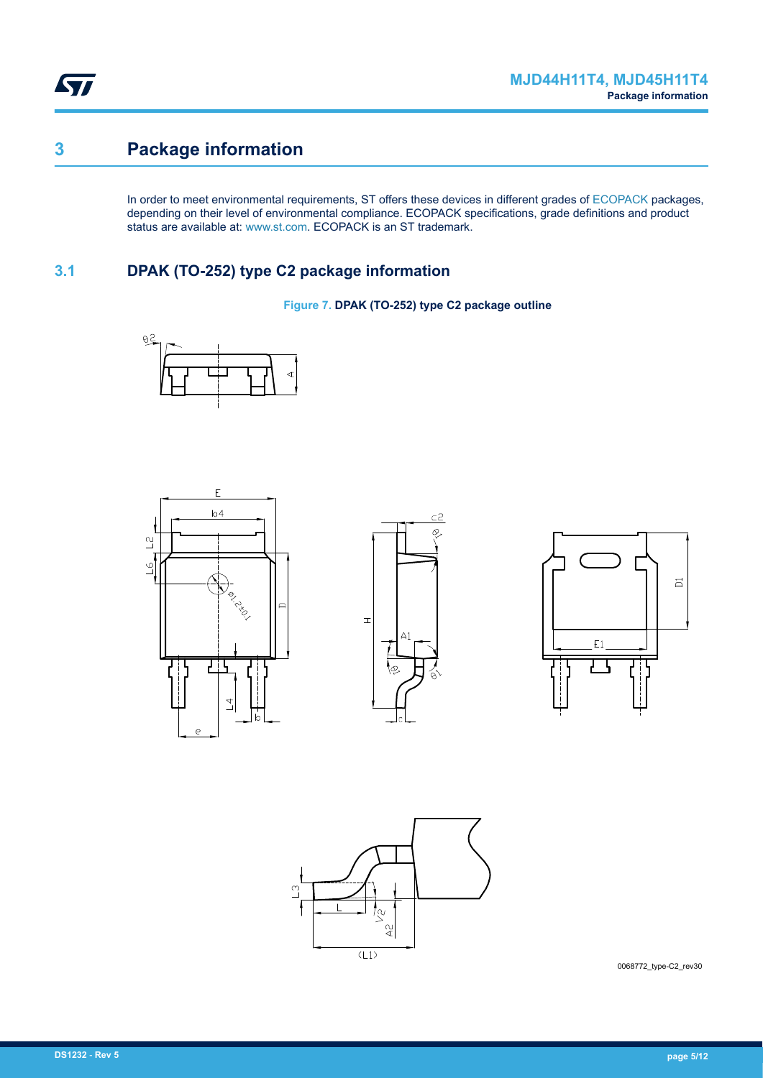<span id="page-4-0"></span>ST

# **3 Package information**

In order to meet environmental requirements, ST offers these devices in different grades of [ECOPACK](https://www.st.com/ecopack) packages, depending on their level of environmental compliance. ECOPACK specifications, grade definitions and product status are available at: [www.st.com.](http://www.st.com) ECOPACK is an ST trademark.

## **3.1 DPAK (TO-252) type C2 package information**

**Figure 7. DPAK (TO-252) type C2 package outline**











0068772\_type-C2\_rev30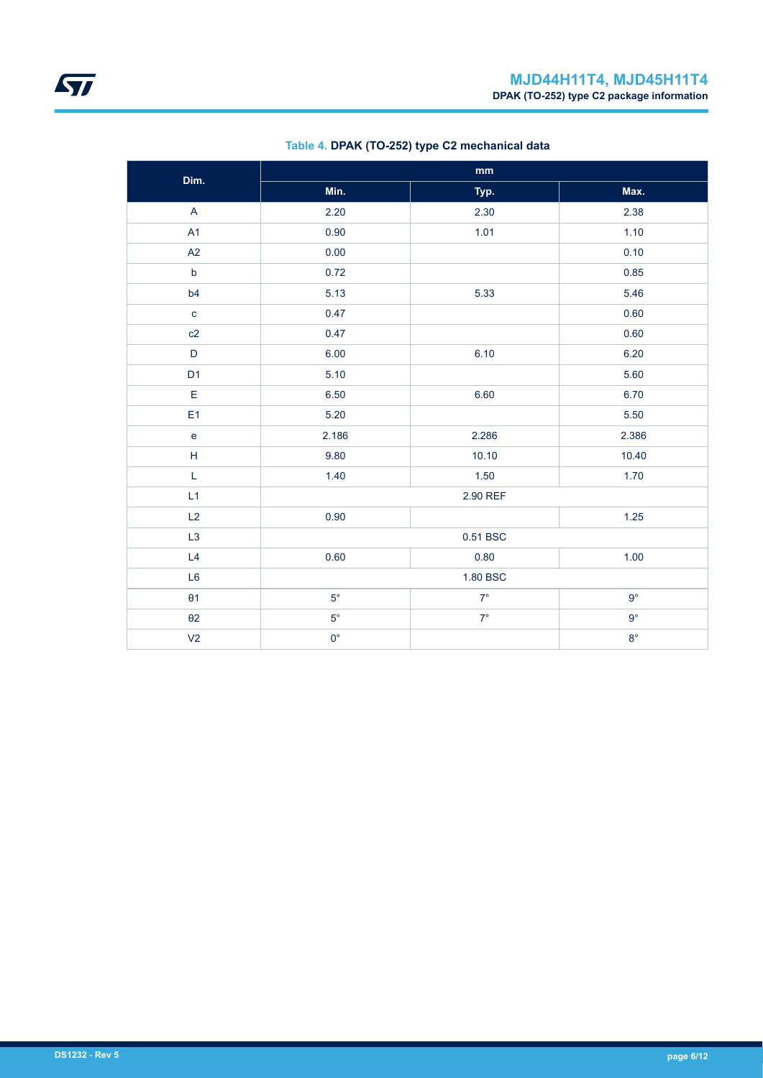| Dim.           | $\mathop{\text{mm}}\nolimits$ |             |             |  |  |
|----------------|-------------------------------|-------------|-------------|--|--|
|                | Min.                          | Typ.        | Max.        |  |  |
| $\mathsf{A}$   | 2.20                          | 2.30        | 2.38        |  |  |
| A1             | 0.90                          | 1.01        | 1.10        |  |  |
| A2             | 0.00                          |             | 0.10        |  |  |
| $\mathsf b$    | 0.72                          |             | 0.85        |  |  |
| b4             | 5.13                          | 5.33        | 5.46        |  |  |
| $\mathbf{C}$   | 0.47                          |             | 0.60        |  |  |
| c2             | 0.47                          |             | 0.60        |  |  |
| $\mathsf D$    | 6.00                          | 6.10        | 6.20        |  |  |
| D <sub>1</sub> | 5.10                          |             | 5.60        |  |  |
| $\mathsf E$    | 6.50                          | 6.60        | 6.70        |  |  |
| E <sub>1</sub> | 5.20                          |             | 5.50        |  |  |
| $\mathbf e$    | 2.186                         | 2.286       | 2.386       |  |  |
| $\mathsf H$    | 9.80                          | 10.10       | 10.40       |  |  |
| L              | 1.40                          | 1.50        | 1.70        |  |  |
| L1             | 2.90 REF                      |             |             |  |  |
| L2             | 0.90                          |             | $1.25$      |  |  |
| L <sub>3</sub> | 0.51 BSC                      |             |             |  |  |
| L4             | 0.60                          | 0.80        | 1.00        |  |  |
| L <sub>6</sub> | 1.80 BSC                      |             |             |  |  |
| $\theta$ 1     | $5^{\circ}$                   | $7^{\circ}$ | $9^{\circ}$ |  |  |
| $\theta$ 2     | $5^{\circ}$                   | $7^\circ$   | $9^{\circ}$ |  |  |
| V <sub>2</sub> | $0^{\circ}$                   |             | $8^{\circ}$ |  |  |

## **Table 4. DPAK (TO-252) type C2 mechanical data**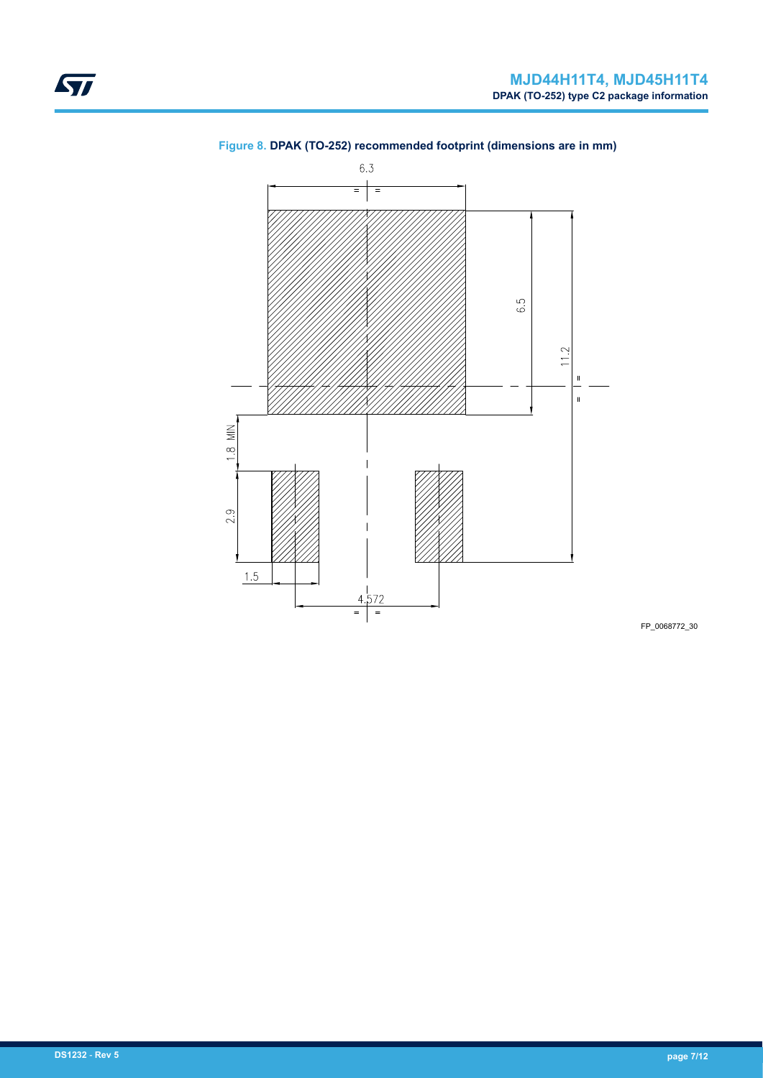

## **Figure 8. DPAK (TO-252) recommended footprint (dimensions are in mm)**

FP\_0068772\_30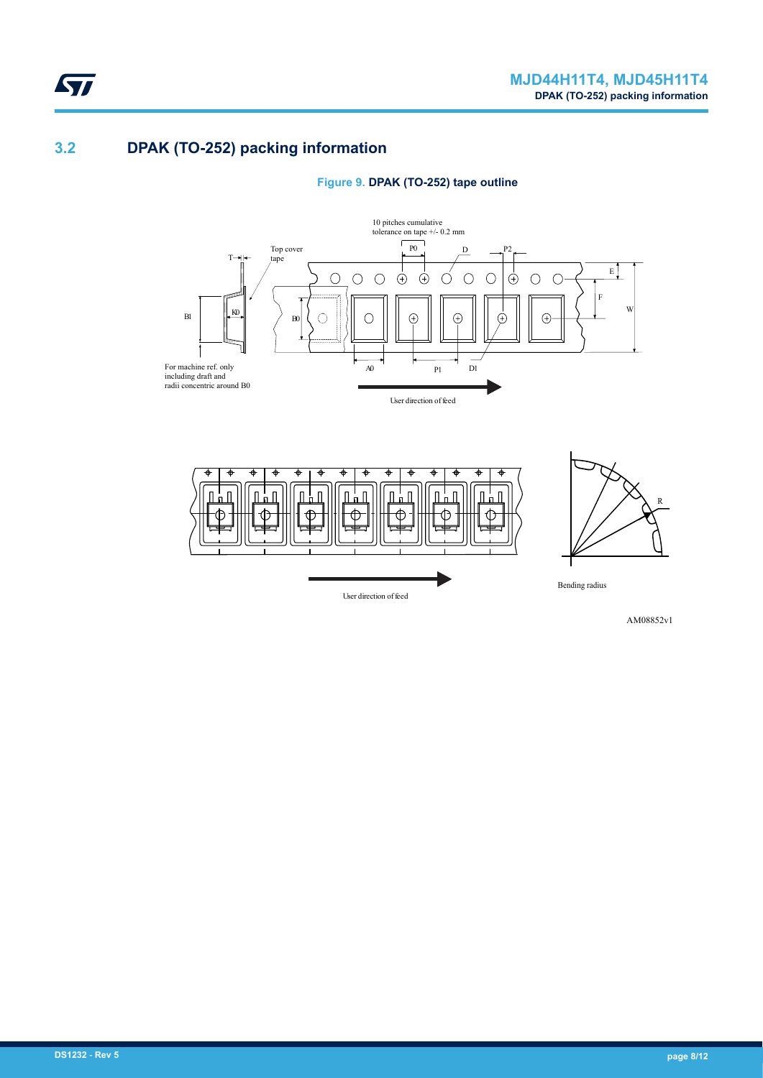## **3.2 DPAK (TO-252) packing information**

<span id="page-7-0"></span>ST





User direction of feed

Bending radius

AM08852v1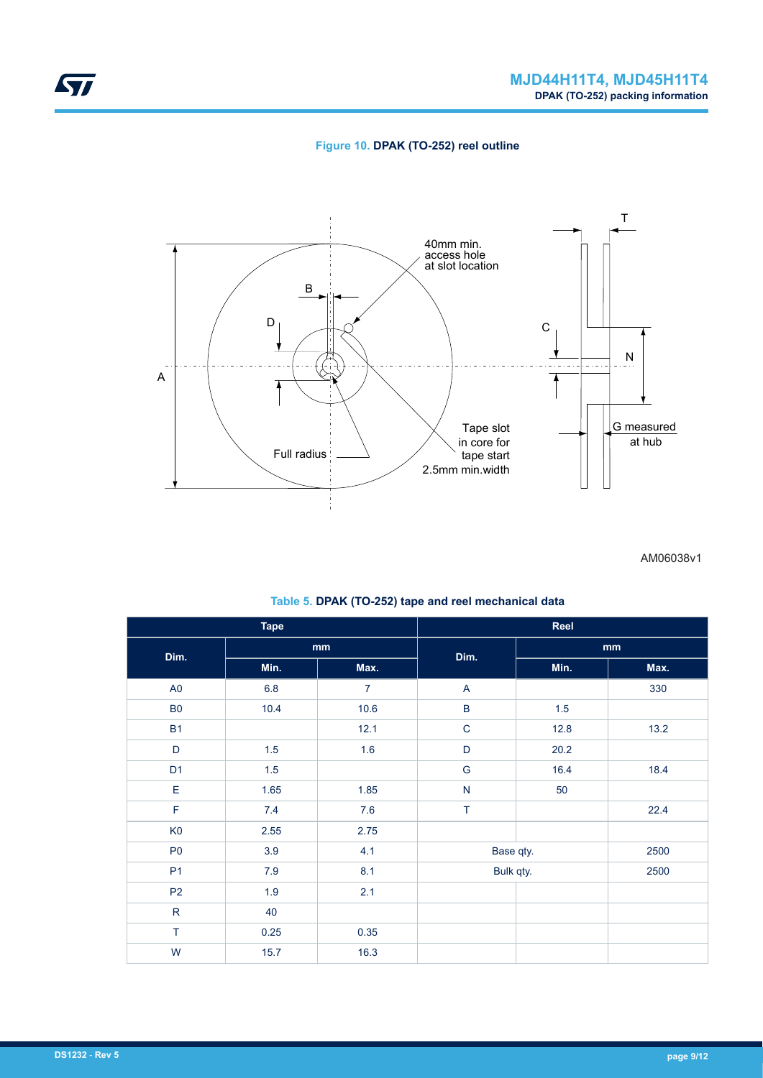



AM06038v1

|                | <b>Tape</b>  |                |                         | Reel    |      |  |
|----------------|--------------|----------------|-------------------------|---------|------|--|
| Dim.           | mm           |                | Dim.                    | mm      |      |  |
|                | Min.<br>Max. | Min.           | Max.                    |         |      |  |
| A <sub>0</sub> | 6.8          | $\overline{7}$ | $\overline{A}$          |         | 330  |  |
| ${\sf B0}$     | 10.4         | 10.6           | $\sf B$                 | $1.5\,$ |      |  |
| <b>B1</b>      |              | 12.1           | $\mathbf C$             | 12.8    | 13.2 |  |
| $\mathsf D$    | $1.5\,$      | 1.6            | $\mathsf D$             | 20.2    |      |  |
| D <sub>1</sub> | $1.5\,$      |                | ${\mathsf G}$           | 16.4    | 18.4 |  |
| E              | 1.65         | 1.85           | $\overline{\mathsf{N}}$ | 50      |      |  |
| $\mathsf F$    | 7.4          | 7.6            | $\top$                  |         | 22.4 |  |
| K <sub>0</sub> | 2.55         | 2.75           |                         |         |      |  |
| P <sub>0</sub> | 3.9          | 4.1            | Base qty.               |         | 2500 |  |
| P <sub>1</sub> | $7.9$        | 8.1            | Bulk qty.               |         | 2500 |  |
| P <sub>2</sub> | 1.9          | 2.1            |                         |         |      |  |
| ${\sf R}$      | 40           |                |                         |         |      |  |
| $\top$         | 0.25         | 0.35           |                         |         |      |  |
| W              | 15.7         | 16.3           |                         |         |      |  |

**Table 5. DPAK (TO-252) tape and reel mechanical data**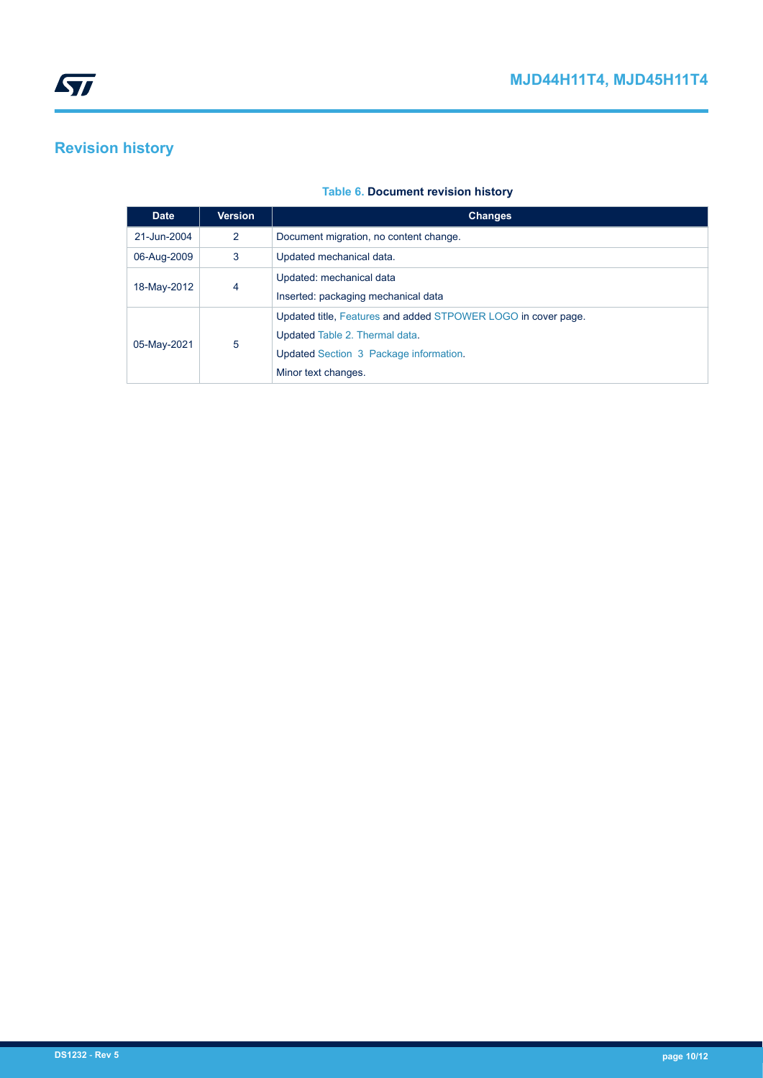# <span id="page-9-0"></span>**Revision history**

## **Table 6. Document revision history**

| <b>Date</b> | <b>Version</b> | <b>Changes</b>                                                |
|-------------|----------------|---------------------------------------------------------------|
| 21-Jun-2004 | 2              | Document migration, no content change.                        |
| 06-Aug-2009 | 3              | Updated mechanical data.                                      |
| 18-May-2012 | 4              | Updated: mechanical data                                      |
|             |                | Inserted: packaging mechanical data                           |
| 05-May-2021 | 5              | Updated title, Features and added STPOWER LOGO in cover page. |
|             |                | Updated Table 2. Thermal data.                                |
|             |                | Updated Section 3 Package information.                        |
|             |                | Minor text changes.                                           |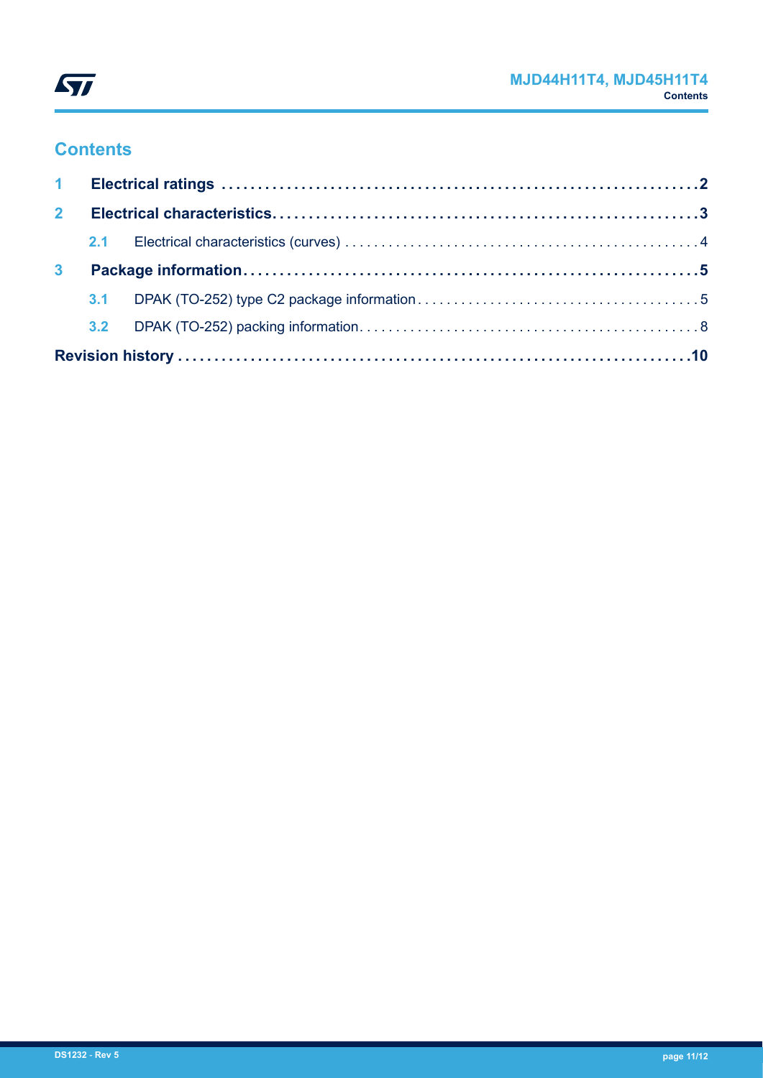

# **Contents**

| $\mathbf{2}$   |  |  |  |  |  |
|----------------|--|--|--|--|--|
|                |  |  |  |  |  |
| 3 <sup>1</sup> |  |  |  |  |  |
|                |  |  |  |  |  |
|                |  |  |  |  |  |
|                |  |  |  |  |  |